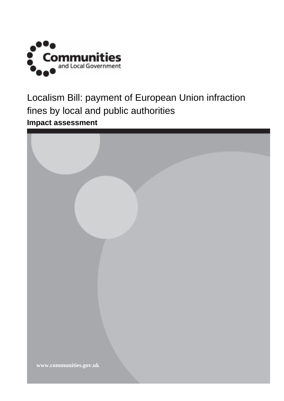

Localism Bill: payment of European Union infraction fines by local and public authorities **Impact assessment** 

| www.communities.gov.uk |  |
|------------------------|--|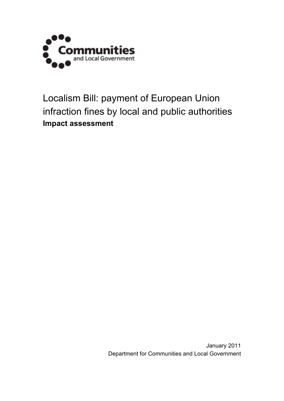

Localism Bill: payment of European Union infraction fines by local and public authorities **Impact assessment** 

> January 2011 Department for Communities and Local Government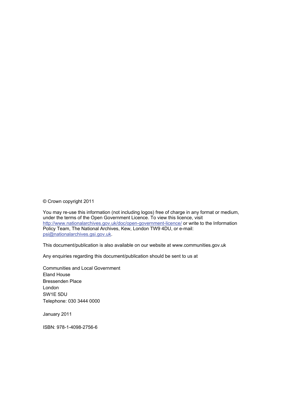© Crown copyright 2011

You may re-use this information (not including logos) free of charge in any format or medium, under the terms of the Open Government Licence. To view this licence, visit <http://www.nationalarchives.gov.uk/doc/open-government-licence/> or write to the Information Policy Team, The National Archives, Kew, London TW9 4DU, or e-mail: [psi@nationalarchives.gsi.gov.uk.](mailto:psi@nationalarchives.gsi.gov.uk)

This document/publication is also available on our website at www.communities.gov.uk

Any enquiries regarding this document/publication should be sent to us at

Communities and Local Government Eland House Bressenden Place London SW1E 5DU Telephone: 030 3444 0000

January 2011

ISBN: 978-1-4098-2756-6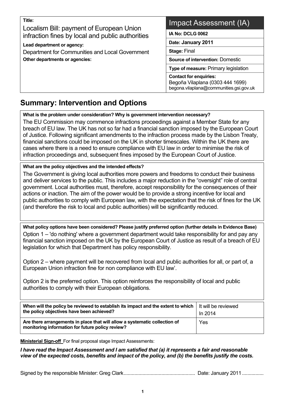| ۰ |          |        |  |
|---|----------|--------|--|
|   | . .<br>× | ×<br>v |  |

Localism Bill: payment of European Union infraction fines by local and public authorities

**Lead department or agency:** 

Department for Communities and Local Government **Other departments or agencies:** 

# Impact Assessment (IA)

**IA No: DCLG 0062**

**Date: January 2011**

**Stage:** Final

**Source of intervention:** Domestic

**Type of measure:** Primary legislation

**Contact for enquiries:**  Begoña Vilaplana (0303 444 1699) begona.vilaplana@communities.gsi.gov.uk

#### **Summary: Intervention and Options**   $\overline{a}$

**What is the problem under consideration? Why is government intervention necessary?** 

The EU Commission may commence infractions proceedings against a Member State for any breach of EU law. The UK has not so far had a financial sanction imposed by the European Court of Justice. Following significant amendments to the infraction process made by the Lisbon Treaty, financial sanctions could be imposed on the UK in shorter timescales. Within the UK there are cases where there is a need to ensure compliance with EU law in order to minimise the risk of infraction proceedings and, subsequent fines imposed by the European Court of Justice.

#### **What are the policy objectives and the intended effects?**

The Government is giving local authorities more powers and freedoms to conduct their business and deliver services to the public. This includes a major reduction in the "oversight" role of central government. Local authorities must, therefore, accept responsibility for the consequences of their actions or inaction. The aim of the power would be to provide a strong incentive for local and public authorities to comply with European law, with the expectation that the risk of fines for the UK (and therefore the risk to local and public authorities) will be significantly reduced.

**What policy options have been considered? Please justify preferred option (further details in Evidence Base)**  Option 1 – 'do nothing' where a government department would take responsibility for and pay any financial sanction imposed on the UK by the European Court of Justice as result of a breach of EU legislation for which that Department has policy responsibility.

Option 2 – where payment will be recovered from local and public authorities for all, or part of, a European Union infraction fine for non compliance with EU law'.

Option 2 is the preferred option. This option reinforces the responsibility of local and public authorities to comply with their European obligations.

| When will the policy be reviewed to establish its impact and the extent to which   It will be reviewed<br>the policy objectives have been achieved? | In 2014 |
|-----------------------------------------------------------------------------------------------------------------------------------------------------|---------|
| Are there arrangements in place that will allow a systematic collection of<br>monitoring information for future policy review?                      | Yes     |

**Ministerial Sign-off** For final proposal stage Impact Assessments:

*I have read the Impact Assessment and I am satisfied that (a) it represents a fair and reasonable view of the expected costs, benefits and impact of the policy, and (b) the benefits justify the costs.* 

Signed by the responsible Minister: Greg Clark..................................................... Date: January 2011................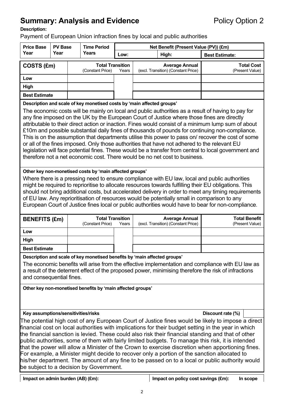# **Summary: Analysis and Evidence Policy Option 2**

#### **Description:**

Payment of European Union infraction fines by local and public authorities

| <b>Price Base</b>                                                                                                                                                                                                                                                                                                                                                                                                                                                                                                                                                                                                                                                                                                                                                                                                                                                                                                                                                                                                                                                                                                                                                                                                                                              | <b>PV Base</b><br><b>Time Period</b><br>Net Benefit (Present Value (PV)) (£m)        |  |                                             |       |               |                                                                                                                                                                                                    |                       |                                      |
|----------------------------------------------------------------------------------------------------------------------------------------------------------------------------------------------------------------------------------------------------------------------------------------------------------------------------------------------------------------------------------------------------------------------------------------------------------------------------------------------------------------------------------------------------------------------------------------------------------------------------------------------------------------------------------------------------------------------------------------------------------------------------------------------------------------------------------------------------------------------------------------------------------------------------------------------------------------------------------------------------------------------------------------------------------------------------------------------------------------------------------------------------------------------------------------------------------------------------------------------------------------|--------------------------------------------------------------------------------------|--|---------------------------------------------|-------|---------------|----------------------------------------------------------------------------------------------------------------------------------------------------------------------------------------------------|-----------------------|--------------------------------------|
| Year                                                                                                                                                                                                                                                                                                                                                                                                                                                                                                                                                                                                                                                                                                                                                                                                                                                                                                                                                                                                                                                                                                                                                                                                                                                           | Year                                                                                 |  | Years                                       |       | Low:<br>High: |                                                                                                                                                                                                    | <b>Best Estimate:</b> |                                      |
| COSTS (£m)                                                                                                                                                                                                                                                                                                                                                                                                                                                                                                                                                                                                                                                                                                                                                                                                                                                                                                                                                                                                                                                                                                                                                                                                                                                     |                                                                                      |  | <b>Total Transition</b><br>(Constant Price) | Years |               | <b>Average Annual</b><br>(excl. Transition) (Constant Price)                                                                                                                                       |                       | <b>Total Cost</b><br>(Present Value) |
| Low                                                                                                                                                                                                                                                                                                                                                                                                                                                                                                                                                                                                                                                                                                                                                                                                                                                                                                                                                                                                                                                                                                                                                                                                                                                            |                                                                                      |  |                                             |       |               |                                                                                                                                                                                                    |                       |                                      |
| High                                                                                                                                                                                                                                                                                                                                                                                                                                                                                                                                                                                                                                                                                                                                                                                                                                                                                                                                                                                                                                                                                                                                                                                                                                                           |                                                                                      |  |                                             |       |               |                                                                                                                                                                                                    |                       |                                      |
| <b>Best Estimate</b>                                                                                                                                                                                                                                                                                                                                                                                                                                                                                                                                                                                                                                                                                                                                                                                                                                                                                                                                                                                                                                                                                                                                                                                                                                           |                                                                                      |  |                                             |       |               |                                                                                                                                                                                                    |                       |                                      |
| Description and scale of key monetised costs by 'main affected groups'<br>The economic costs will be mainly on local and public authorities as a result of having to pay for<br>any fine imposed on the UK by the European Court of Justice where those fines are directly<br>attributable to their direct action or inaction. Fines would consist of a minimum lump sum of about<br>£10m and possible substantial daily fines of thousands of pounds for continuing non-compliance.<br>This is on the assumption that departments utilise this power to pass on/ recover the cost of some<br>or all of the fines imposed. Only those authorities that have not adhered to the relevant EU<br>legislation will face potential fines. These would be a transfer from central to local government and<br>therefore not a net economic cost. There would be no net cost to business.<br>Other key non-monetised costs by 'main affected groups'<br>Where there is a pressing need to ensure compliance with EU law, local and public authorities<br>might be required to reprioritise to allocate resources towards fulfilling their EU obligations. This<br>should not bring additional costs, but accelerated delivery in order to meet any timing requirements |                                                                                      |  |                                             |       |               |                                                                                                                                                                                                    |                       |                                      |
|                                                                                                                                                                                                                                                                                                                                                                                                                                                                                                                                                                                                                                                                                                                                                                                                                                                                                                                                                                                                                                                                                                                                                                                                                                                                |                                                                                      |  | <b>Total Transition</b>                     |       |               | of EU law. Any reprioritisation of resources would be potentially small in comparison to any<br>European Court of Justice fines local or public authorities would have to bear for non-compliance. |                       | <b>Total Benefit</b>                 |
| <b>BENEFITS (£m)</b>                                                                                                                                                                                                                                                                                                                                                                                                                                                                                                                                                                                                                                                                                                                                                                                                                                                                                                                                                                                                                                                                                                                                                                                                                                           |                                                                                      |  | (Constant Price)                            | Years |               | <b>Average Annual</b><br>(excl. Transition) (Constant Price)                                                                                                                                       |                       | (Present Value)                      |
| Low                                                                                                                                                                                                                                                                                                                                                                                                                                                                                                                                                                                                                                                                                                                                                                                                                                                                                                                                                                                                                                                                                                                                                                                                                                                            |                                                                                      |  |                                             |       |               |                                                                                                                                                                                                    |                       |                                      |
| High                                                                                                                                                                                                                                                                                                                                                                                                                                                                                                                                                                                                                                                                                                                                                                                                                                                                                                                                                                                                                                                                                                                                                                                                                                                           |                                                                                      |  |                                             |       |               |                                                                                                                                                                                                    |                       |                                      |
| <b>Best Estimate</b>                                                                                                                                                                                                                                                                                                                                                                                                                                                                                                                                                                                                                                                                                                                                                                                                                                                                                                                                                                                                                                                                                                                                                                                                                                           |                                                                                      |  |                                             |       |               |                                                                                                                                                                                                    |                       |                                      |
| Description and scale of key monetised benefits by 'main affected groups'<br>The economic benefits will arise from the effective implementation and compliance with EU law as<br>a result of the deterrent effect of the proposed power, minimising therefore the risk of infractions<br>and consequential fines.<br>Other key non-monetised benefits by 'main affected groups'                                                                                                                                                                                                                                                                                                                                                                                                                                                                                                                                                                                                                                                                                                                                                                                                                                                                                |                                                                                      |  |                                             |       |               |                                                                                                                                                                                                    |                       |                                      |
| Key assumptions/sensitivities/risks<br>Discount rate (%)<br>The potential high cost of any European Court of Justice fines would be likely to impose a direct<br>financial cost on local authorities with implications for their budget setting in the year in which<br>the financial sanction is levied. These could also risk their financial standing and that of other<br>public authorities, some of them with fairly limited budgets. To manage this risk, it is intended<br>that the power will allow a Minister of the Crown to exercise discretion when apportioning fines.<br>For example, a Minister might decide to recover only a portion of the sanction allocated to<br>his/her department. The amount of any fine to be passed on to a local or public authority would<br>be subject to a decision by Government.                                                                                                                                                                                                                                                                                                                                                                                                                              |                                                                                      |  |                                             |       |               |                                                                                                                                                                                                    |                       |                                      |
|                                                                                                                                                                                                                                                                                                                                                                                                                                                                                                                                                                                                                                                                                                                                                                                                                                                                                                                                                                                                                                                                                                                                                                                                                                                                | Impact on policy cost savings (£m):<br>Impact on admin burden (AB) (£m):<br>In scope |  |                                             |       |               |                                                                                                                                                                                                    |                       |                                      |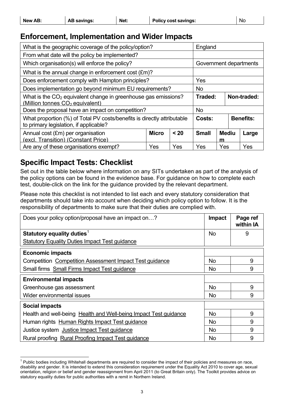| New AB: | AB savings: | Net: | <b>Policy cost savings:</b> | Nc |
|---------|-------------|------|-----------------------------|----|
|---------|-------------|------|-----------------------------|----|

# **Enforcement, Implementation and Wider Impacts**

| What is the geographic coverage of the policy/option?                                                             | England                                                   |     |           |                  |  |       |
|-------------------------------------------------------------------------------------------------------------------|-----------------------------------------------------------|-----|-----------|------------------|--|-------|
| From what date will the policy be implemented?                                                                    |                                                           |     |           |                  |  |       |
| Which organisation(s) will enforce the policy?                                                                    | Government departments                                    |     |           |                  |  |       |
| What is the annual change in enforcement cost (£m)?                                                               |                                                           |     |           |                  |  |       |
| Does enforcement comply with Hampton principles?                                                                  |                                                           |     | Yes       |                  |  |       |
| Does implementation go beyond minimum EU requirements?                                                            |                                                           |     | <b>No</b> |                  |  |       |
| What is the $CO2$ equivalent change in greenhouse gas emissions?<br>(Million tonnes CO <sub>2</sub> equivalent)   | Non-traded:<br>Traded:                                    |     |           |                  |  |       |
| Does the proposal have an impact on competition?                                                                  |                                                           |     | <b>No</b> |                  |  |       |
| What proportion (%) of Total PV costs/benefits is directly attributable<br>to primary legislation, if applicable? | Costs:                                                    |     |           | <b>Benefits:</b> |  |       |
| Annual cost (£m) per organisation<br>(excl. Transition) (Constant Price)                                          | <b>Micro</b><br>< 20<br><b>Small</b><br><b>Mediu</b><br>m |     |           |                  |  | Large |
| Are any of these organisations exempt?                                                                            | Yes                                                       | Yes | Yes       | Yes              |  | Yes   |

# **Specific Impact Tests: Checklist**

 $\overline{a}$ 

Set out in the table below where information on any SITs undertaken as part of the analysis of the policy options can be found in the evidence base. For guidance on how to complete each test, double-click on the link for the guidance provided by the relevant department.

Please note this checklist is not intended to list each and every statutory consideration that departments should take into account when deciding which policy option to follow. It is the responsibility of departments to make sure that their duties are complied with.

| Does your policy option/proposal have an impact on?              | <b>Impact</b> | Page ref<br>within IA |
|------------------------------------------------------------------|---------------|-----------------------|
| Statutory equality duties <sup>1</sup>                           | <b>No</b>     | 9                     |
| <b>Statutory Equality Duties Impact Test guidance</b>            |               |                       |
| <b>Economic impacts</b>                                          |               |                       |
| Competition Competition Assessment Impact Test guidance          | <b>No</b>     | 9                     |
| Small firms Small Firms Impact Test guidance                     | <b>No</b>     | 9                     |
| <b>Environmental impacts</b>                                     |               |                       |
| Greenhouse gas assessment                                        | <b>No</b>     | 9                     |
| Wider environmental issues                                       | <b>No</b>     | 9                     |
| <b>Social impacts</b>                                            |               |                       |
| Health and well-being Health and Well-being Impact Test guidance | <b>No</b>     | 9                     |
| Human rights Human Rights Impact Test guidance                   | <b>No</b>     | 9                     |
| Justice system Justice Impact Test guidance                      | <b>No</b>     | 9                     |
| Rural proofing Rural Proofing Impact Test guidance               | <b>No</b>     | 9                     |

<span id="page-5-0"></span><sup>&</sup>lt;sup>1</sup> Public bodies including Whitehall departments are required to consider the impact of their policies and measures on race, disability and gender. It is intended to extend this consideration requirement under the Equality Act 2010 to cover age, sexual orientation, religion or belief and gender reassignment from April 2011 (to Great Britain only). The Toolkit provides advice on statutory equality duties for public authorities with a remit in Northern Ireland.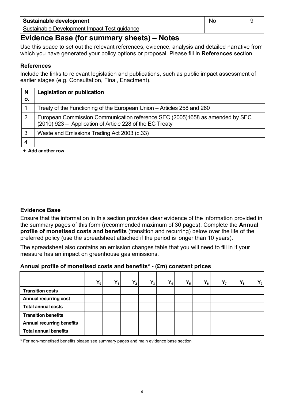| Sustainable development                      | N0 |  |
|----------------------------------------------|----|--|
| Sustainable Development Impact Test guidance |    |  |

# **Evidence Base (for summary sheets) – Notes**

Use this space to set out the relevant references, evidence, analysis and detailed narrative from which you have generated your policy options or proposal. Please fill in **References** section.

#### **References**

Include the links to relevant legislation and publications, such as public impact assessment of earlier stages (e.g. Consultation, Final, Enactment).

| N<br>Ο. | Legislation or publication                                                                                                               |
|---------|------------------------------------------------------------------------------------------------------------------------------------------|
|         | Treaty of the Functioning of the European Union – Articles 258 and 260                                                                   |
| 2       | European Commission Communication reference SEC (2005)1658 as amended by SEC<br>(2010) 923 - Application of Article 228 of the EC Treaty |
| 3       | Waste and Emissions Trading Act 2003 (c.33)                                                                                              |
|         |                                                                                                                                          |

**+ Add another row** 

### **Evidence Base**

Ensure that the information in this section provides clear evidence of the information provided in the summary pages of this form (recommended maximum of 30 pages). Complete the **Annual profile of monetised costs and benefits** (transition and recurring) below over the life of the preferred policy (use the spreadsheet attached if the period is longer than 10 years).

The spreadsheet also contains an emission changes table that you will need to fill in if your measure has an impact on greenhouse gas emissions.

### **Annual profile of monetised costs and benefits\* - (£m) constant prices**

|                                  | $Y_0$ | $Y_1$ | $Y_2$ | $Y_3$ | $Y_4$ | $Y_5$ | $Y_6$ | $Y_7$ | $Y_8$ | $\mathsf{Y}_9$ $ $ |
|----------------------------------|-------|-------|-------|-------|-------|-------|-------|-------|-------|--------------------|
| <b>Transition costs</b>          |       |       |       |       |       |       |       |       |       |                    |
| <b>Annual recurring cost</b>     |       |       |       |       |       |       |       |       |       |                    |
| <b>Total annual costs</b>        |       |       |       |       |       |       |       |       |       |                    |
| <b>Transition benefits</b>       |       |       |       |       |       |       |       |       |       |                    |
| <b>Annual recurring benefits</b> |       |       |       |       |       |       |       |       |       |                    |
| <b>Total annual benefits</b>     |       |       |       |       |       |       |       |       |       |                    |

\* For non-monetised benefits please see summary pages and main evidence base section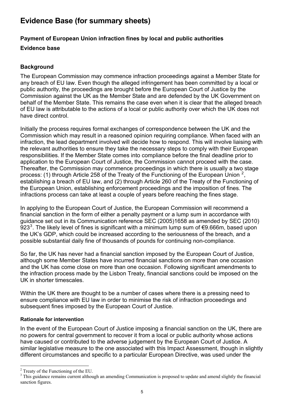# **Evidence Base (for summary sheets)**

# **Payment of European Union infraction fines by local and public authorities**

### **Evidence base**

# **Background**

The European Commission may commence infraction proceedings against a Member State for any breach of EU law. Even though the alleged infringement has been committed by a local or public authority, the proceedings are brought before the European Court of Justice by the Commission against the UK as the Member State and are defended by the UK Government on behalf of the Member State. This remains the case even when it is clear that the alleged breach of EU law is attributable to the actions of a local or public authority over which the UK does not have direct control.

Initially the process requires formal exchanges of correspondence between the UK and the Commission which may result in a reasoned opinion requiring compliance. When faced with an infraction, the lead department involved will decide how to respond. This will involve liaising with the relevant authorities to ensure they take the necessary steps to comply with their European responsibilities. If the Member State comes into compliance before the final deadline prior to application to the European Court of Justice, the Commission cannot proceed with the case. Thereafter, the Commission may commence proceedings in which there is usually a two stage process: (1) through Article [2](#page-7-0)58 of the Treaty of the Functioning of the European Union  $^2$ , establishing a breach of EU law, and (2) through Article 260 of the Treaty of the Functioning of the European Union, establishing enforcement proceedings and the imposition of fines. The infractions process can take at least a couple of years before reaching the fines stage.

In applying to the European Court of Justice, the European Commission will recommend a financial sanction in the form of either a penalty payment or a lump sum in accordance with guidance set out in its Communication reference SEC (2005)1658 as amended by SEC (2010)  $923<sup>3</sup>$  $923<sup>3</sup>$  $923<sup>3</sup>$ . The likely level of fines is significant with a minimum lump sum of €9.666m, based upon the UK's GDP, which could be increased according to the seriousness of the breach, and a possible substantial daily fine of thousands of pounds for continuing non-compliance.

So far, the UK has never had a financial sanction imposed by the European Court of Justice, although some Member States have incurred financial sanctions on more than one occasion and the UK has come close on more than one occasion. Following significant amendments to the infraction process made by the Lisbon Treaty, financial sanctions could be imposed on the UK in shorter timescales.

Within the UK there are thought to be a number of cases where there is a pressing need to ensure compliance with EU law in order to minimise the risk of infraction proceedings and subsequent fines imposed by the European Court of Justice.

### **Rationale for intervention**

In the event of the European Court of Justice imposing a financial sanction on the UK, there are no powers for central government to recover it from a local or public authority whose actions have caused or contributed to the adverse judgement by the European Court of Justice. A similar legislative measure to the one associated with this Impact Assessment, though in slightly different circumstances and specific to a particular European Directive, was used under the

l

<span id="page-7-0"></span> $2$  Treaty of the Functioning of the EU.

<span id="page-7-1"></span><sup>&</sup>lt;sup>3</sup> This guidance remains current although an amending Communication is proposed to update and amend slightly the financial sanction figures.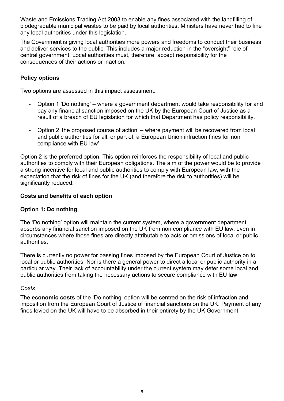Waste and Emissions Trading Act 2003 to enable any fines associated with the landfilling of biodegradable municipal wastes to be paid by local authorities. Ministers have never had to fine any local authorities under this legislation.

The Government is giving local authorities more powers and freedoms to conduct their business and deliver services to the public. This includes a major reduction in the "oversight" role of central government. Local authorities must, therefore, accept responsibility for the consequences of their actions or inaction.

### **Policy options**

Two options are assessed in this impact assessment:

- Option 1 'Do nothing' where a government department would take responsibility for and pay any financial sanction imposed on the UK by the European Court of Justice as a result of a breach of EU legislation for which that Department has policy responsibility.
- Option 2 'the proposed course of action' where payment will be recovered from local and public authorities for all, or part of, a European Union infraction fines for non compliance with EU law'.

Option 2 is the preferred option. This option reinforces the responsibility of local and public authorities to comply with their European obligations. The aim of the power would be to provide a strong incentive for local and public authorities to comply with European law, with the expectation that the risk of fines for the UK (and therefore the risk to authorities) will be significantly reduced.

### **Costs and benefits of each option**

### **Option 1: Do nothing**

The 'Do nothing' option will maintain the current system, where a government department absorbs any financial sanction imposed on the UK from non compliance with EU law, even in circumstances where those fines are directly attributable to acts or omissions of local or public authorities.

There is currently no power for passing fines imposed by the European Court of Justice on to local or public authorities. Nor is there a general power to direct a local or public authority in a particular way. Their lack of accountability under the current system may deter some local and public authorities from taking the necessary actions to secure compliance with EU law.

### *Costs*

The **economic costs** of the 'Do nothing' option will be centred on the risk of infraction and imposition from the European Court of Justice of financial sanctions on the UK. Payment of any fines levied on the UK will have to be absorbed in their entirety by the UK Government.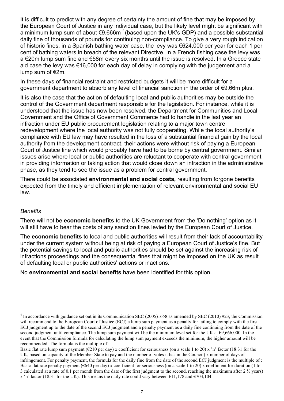It is difficult to predict with any degree of certainty the amount of fine that may be imposed by the European Court of Justice in any individual case, but the likely level might be significant with a minimum lump sum of about  $\epsilon$ 9.666m  $^4$  $^4$ (based upon the UK's GDP) and a possible substantial daily fine of thousands of pounds for continuing non-compliance. To give a very rough indication of historic fines, in a Spanish bathing water case, the levy was €624,000 per year for each 1 per cent of bathing waters in breach of the relevant Directive. In a French fishing case the levy was a €20m lump sum fine and €58m every six months until the issue is resolved. In a Greece state aid case the levy was €16,000 for each day of delay in complying with the judgement and a lump sum of €2m.

In these days of financial restraint and restricted budgets it will be more difficult for a government department to absorb any level of financial sanction in the order of €9,66m plus.

It is also the case that the action of defaulting local and public authorities may be outside the control of the Government department responsible for the legislation. For instance, while it is understood that the issue has now been resolved, the Department for Communities and Local Government and the Office of Government Commerce had to handle in the last year an infraction under EU public procurement legislation relating to a major town centre redevelopment where the local authority was not fully cooperating. While the local authority's compliance with EU law may have resulted in the loss of a substantial financial gain by the local authority from the development contract, their actions were without risk of paying a European Court of Justice fine which would probably have had to be borne by central government. Similar issues arise where local or public authorities are reluctant to cooperate with central government in providing information or taking action that would close down an infraction in the administrative phase, as they tend to see the issue as a problem for central government.

There could be associated **environmental and social costs,** resulting from forgone benefits expected from the timely and efficient implementation of relevant environmental and social EU law.

#### *Benefits*

l

There will not be **economic benefits** to the UK Government from the 'Do nothing' option as it will still have to bear the costs of any sanction fines levied by the European Court of Justice.

The **economic benefits** to local and public authorities will result from their lack of accountability under the current system without being at risk of paying a European Court of Justice's fine. But the potential savings to local and public authorities should be set against the increasing risk of infractions proceedings and the consequential fines that might be imposed on the UK as result of defaulting local or public authorities' actions or inactions.

No **environmental and social benefits** have been identified for this option.

<span id="page-9-0"></span><sup>&</sup>lt;sup>4</sup> In accordance with guidance set out in its Communication SEC (2005)1658 as amended by SEC (2010) 923, the Commission will recommend to the European Court of Justice (ECJ) a lump sum payment as a penalty for failing to comply with the first ECJ judgment up to the date of the second ECJ judgment and a penalty payment as a daily fine continuing from the date of the second judgment until compliance. The lump sum payment will be the minimum level set for the UK at  $\epsilon$ 9,666,000. In the event that the Commission formula for calculating the lump sum payment exceeds the minimum, the higher amount will be recommended. The formula is the multiple of :

Basic flat rate lump sum payment ( $\epsilon$ 210 per day) x coefficient for seriousness (on a scale 1 to 20) x 'n' factor (18.31 for the UK, based on capacity of the Member State to pay and the number of votes it has in the Council) x number of days of infringement. For penalty payment, the formula for the daily fine from the date of the second ECJ judgment is the multiple of : Basic flat rate penalty payment (€640 per day) x coefficient for seriousness (on a scale 1 to 20) x coefficient for duration (1 to 3 calculated at a rate of 0.1 per month from the date of the first judgment to the second, reaching the maximum after  $2 \frac{1}{2}$  years) x 'n' factor (18.31 for the UK). This means the daily rate could vary between  $\epsilon$ 11,178 and  $\epsilon$ 703,104.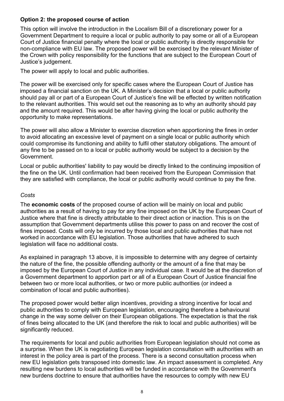#### **Option 2: the proposed course of action**

This option will involve the introduction in the Localism Bill of a discretionary power for a Government Department to require a local or public authority to pay some or all of a European Court of Justice financial penalty where the local or public authority is directly responsible for non-compliance with EU law. The proposed power will be exercised by the relevant Minister of the Crown with policy responsibility for the functions that are subject to the European Court of Justice's judgement.

The power will apply to local and public authorities.

The power will be exercised only for specific cases where the European Court of Justice has imposed a financial sanction on the UK. A Minister's decision that a local or public authority should pay all or part of a European Court of Justice's fine will be effected by written notification to the relevant authorities. This would set out the reasoning as to why an authority should pay and the amount required. This would be after having giving the local or public authority the opportunity to make representations.

The power will also allow a Minister to exercise discretion when apportioning the fines in order to avoid allocating an excessive level of payment on a single local or public authority which could compromise its functioning and ability to fulfil other statutory obligations. The amount of any fine to be passed on to a local or public authority would be subject to a decision by the Government.

Local or public authorities' liability to pay would be directly linked to the continuing imposition of the fine on the UK. Until confirmation had been received from the European Commission that they are satisfied with compliance, the local or public authority would continue to pay the fine.

#### *Costs*

The **economic costs** of the proposed course of action will be mainly on local and public authorities as a result of having to pay for any fine imposed on the UK by the European Court of Justice where that fine is directly attributable to their direct action or inaction. This is on the assumption that Government departments utilise this power to pass on and recover the cost of fines imposed. Costs will only be incurred by those local and public authorities that have not worked in accordance with EU legislation. Those authorities that have adhered to such legislation will face no additional costs.

As explained in paragraph 13 above, it is impossible to determine with any degree of certainty the nature of the fine, the possible offending authority or the amount of a fine that may be imposed by the European Court of Justice in any individual case. It would be at the discretion of a Government department to apportion part or all of a European Court of Justice financial fine between two or more local authorities, or two or more public authorities (or indeed a combination of local and public authorities).

The proposed power would better align incentives, providing a strong incentive for local and public authorities to comply with European legislation, encouraging therefore a behavioural change in the way some deliver on their European obligations. The expectation is that the risk of fines being allocated to the UK (and therefore the risk to local and public authorities) will be significantly reduced.

The requirements for local and public authorities from European legislation should not come as a surprise. When the UK is negotiating European legislation consultation with authorities with an interest in the policy area is part of the process. There is a second consultation process when new EU legislation gets transposed into domestic law. An impact assessment is completed. Any resulting new burdens to local authorities will be funded in accordance with the Government's new burdens doctrine to ensure that authorities have the resources to comply with new EU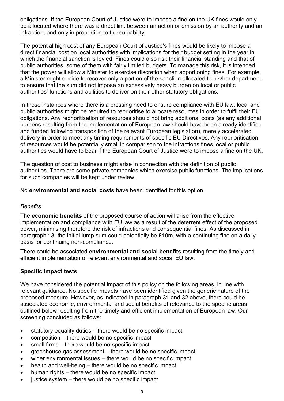obligations. If the European Court of Justice were to impose a fine on the UK fines would only be allocated where there was a direct link between an action or omission by an authority and an infraction, and only in proportion to the culpability.

The potential high cost of any European Court of Justice's fines would be likely to impose a direct financial cost on local authorities with implications for their budget setting in the year in which the financial sanction is levied. Fines could also risk their financial standing and that of public authorities, some of them with fairly limited budgets. To manage this risk, it is intended that the power will allow a Minister to exercise discretion when apportioning fines. For example, a Minister might decide to recover only a portion of the sanction allocated to his/her department, to ensure that the sum did not impose an excessively heavy burden on local or public authorities' functions and abilities to deliver on their other statutory obligations.

In those instances where there is a pressing need to ensure compliance with EU law, local and public authorities might be required to reprioritise to allocate resources in order to fulfil their EU obligations. Any reprioritisation of resources should not bring additional costs (as any additional burdens resulting from the implementation of European law should have been already identified and funded following transposition of the relevant European legislation), merely accelerated delivery in order to meet any timing requirements of specific EU Directives. Any reprioritisation of resources would be potentially small in comparison to the infractions fines local or public authorities would have to bear if the European Court of Justice were to impose a fine on the UK.

The question of cost to business might arise in connection with the definition of public authorities. There are some private companies which exercise public functions. The implications for such companies will be kept under review.

No **environmental and social costs** have been identified for this option.

#### *Benefits*

The **economic benefits** of the proposed course of action will arise from the effective implementation and compliance with EU law as a result of the deterrent effect of the proposed power, minimising therefore the risk of infractions and consequential fines. As discussed in paragraph 13, the initial lump sum could potentially be £10m, with a continuing fine on a daily basis for continuing non-compliance.

There could be associated **environmental and social benefits** resulting from the timely and efficient implementation of relevant environmental and social EU law.

#### **Specific impact tests**

We have considered the potential impact of this policy on the following areas, in line with relevant guidance. No specific impacts have been identified given the generic nature of the proposed measure. However, as indicated in paragraph 31 and 32 above, there could be associated economic, environmental and social benefits of relevance to the specific areas outlined below resulting from the timely and efficient implementation of European law. Our screening concluded as follows:

- statutory equality duties there would be no specific impact
- competition there would be no specific impact
- small firms there would be no specific impact
- greenhouse gas assessment there would be no specific impact
- wider environmental issues there would be no specific impact
- health and well-being there would be no specific impact
- human rights there would be no specific impact
- justice system there would be no specific impact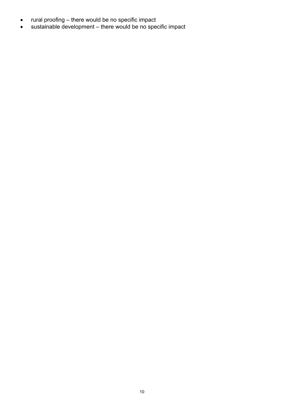- rural proofing there would be no specific impact
- sustainable development there would be no specific impact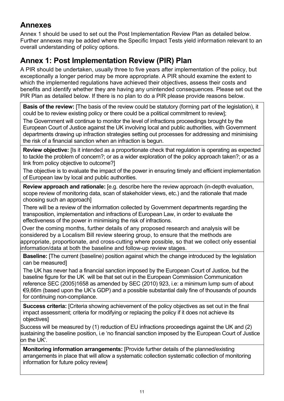# **Annexes**

Annex 1 should be used to set out the Post Implementation Review Plan as detailed below. Further annexes may be added where the Specific Impact Tests yield information relevant to an overall understanding of policy options.

# **Annex 1: Post Implementation Review (PIR) Plan**

A PIR should be undertaken, usually three to five years after implementation of the policy, but exceptionally a longer period may be more appropriate. A PIR should examine the extent to which the implemented regulations have achieved their objectives, assess their costs and benefits and identify whether they are having any unintended consequences. Please set out the PIR Plan as detailed below. If there is no plan to do a PIR please provide reasons below.

**Basis of the review:** [The basis of the review could be statutory (forming part of the legislation), it could be to review existing policy or there could be a political commitment to review];

The Government will continue to monitor the level of infractions proceedings brought by the European Court of Justice against the UK involving local and public authorities, with Government departments drawing up infraction strategies setting out processes for addressing and minimising the risk of a financial sanction when an infraction is begun.

**Review objective:** [Is it intended as a proportionate check that regulation is operating as expected to tackle the problem of concern?; or as a wider exploration of the policy approach taken?; or as a link from policy objective to outcome?]

The objective is to evaluate the impact of the power in ensuring timely and efficient implementation of European law by local and public authorities.

**Review approach and rationale:** [e.g. describe here the review approach (in-depth evaluation, scope review of monitoring data, scan of stakeholder views, etc.) and the rationale that made choosing such an approach]

There will be a review of the information collected by Government departments regarding the transposition, implementation and infractions of European Law, in order to evaluate the effectiveness of the power in minimising the risk of infractions.

 Over the coming months, further details of any proposed research and analysis will be considered by a Localism Bill review steering group, to ensure that the methods are appropriate, proportionate, and cross-cutting where possible, so that we collect only essential information/data at both the baseline and follow-up review stages.

**Baseline:** [The current (baseline) position against which the change introduced by the legislation can be measured]

The UK has never had a financial sanction imposed by the European Court of Justice, but the baseline figure for the UK will be that set out in the European Commission Communication reference SEC (2005)1658 as amended by SEC (2010) 923, i.e: a minimum lump sum of about €9,66m (based upon the UK's GDP) and a possible substantial daily fine of thousands of pounds for continuing non-compliance.

**Success criteria:** [Criteria showing achievement of the policy objectives as set out in the final impact assessment; criteria for modifying or replacing the policy if it does not achieve its objectives]

Success will be measured by (1) reduction of EU infractions proceedings against the UK and (2) sustaining the baseline position, i.e 'no financial sanction imposed by the European Court of Justice on the UK'.

**Monitoring information arrangements:** [Provide further details of the planned/existing arrangements in place that will allow a systematic collection systematic collection of monitoring information for future policy review]